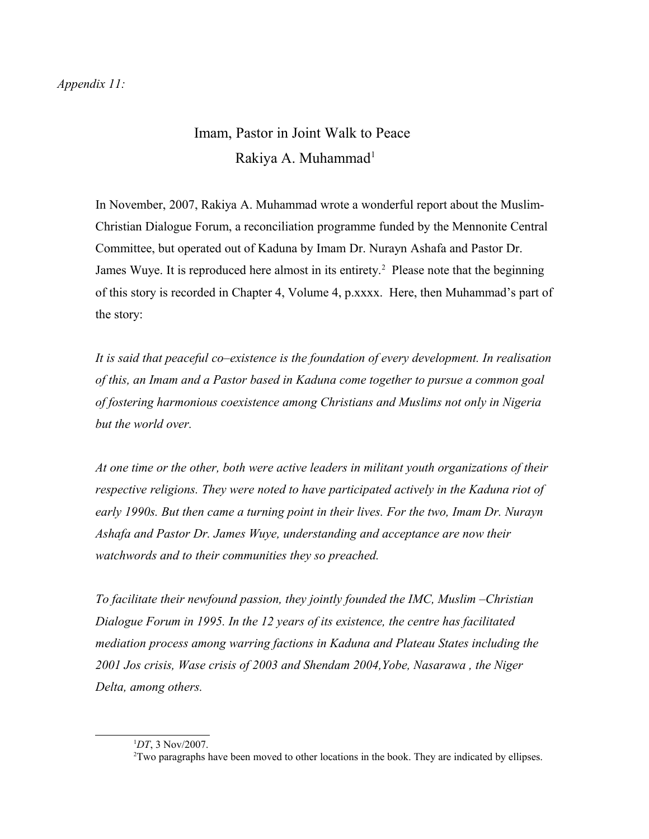## Imam, Pastor in Joint Walk to Peace Rakiya A. Muhammad<sup>[1](#page-0-0)</sup>

In November, 2007, Rakiya A. Muhammad wrote a wonderful report about the Muslim-Christian Dialogue Forum, a reconciliation programme funded by the Mennonite Central Committee, but operated out of Kaduna by Imam Dr. Nurayn Ashafa and Pastor Dr. James Wuye. It is reproduced here almost in its entirety.<sup>[2](#page-0-1)</sup> Please note that the beginning of this story is recorded in Chapter 4, Volume 4, p.xxxx. Here, then Muhammad's part of the story:

*It is said that peaceful co–existence is the foundation of every development. In realisation of this, an Imam and a Pastor based in Kaduna come together to pursue a common goal of fostering harmonious coexistence among Christians and Muslims not only in Nigeria but the world over.* 

*At one time or the other, both were active leaders in militant youth organizations of their respective religions. They were noted to have participated actively in the Kaduna riot of early 1990s. But then came a turning point in their lives. For the two, Imam Dr. Nurayn Ashafa and Pastor Dr. James Wuye, understanding and acceptance are now their watchwords and to their communities they so preached.* 

*To facilitate their newfound passion, they jointly founded the IMC, Muslim –Christian Dialogue Forum in 1995. In the 12 years of its existence, the centre has facilitated mediation process among warring factions in Kaduna and Plateau States including the 2001 Jos crisis, Wase crisis of 2003 and Shendam 2004,Yobe, Nasarawa , the Niger Delta, among others.*

<span id="page-0-0"></span><sup>1</sup>*DT*, 3 Nov/2007.

<span id="page-0-1"></span><sup>2</sup>Two paragraphs have been moved to other locations in the book. They are indicated by ellipses.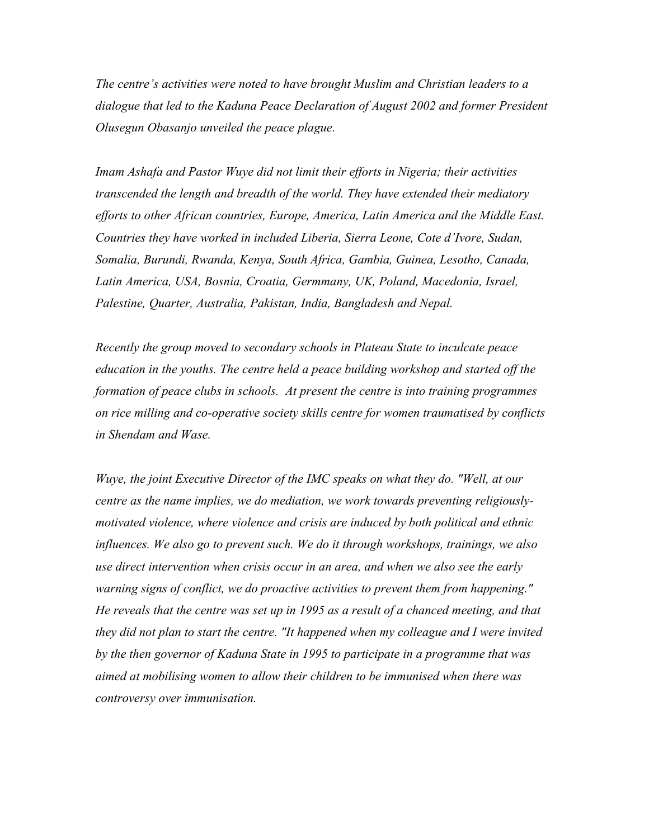*The centre's activities were noted to have brought Muslim and Christian leaders to a dialogue that led to the Kaduna Peace Declaration of August 2002 and former President Olusegun Obasanjo unveiled the peace plague.* 

*Imam Ashafa and Pastor Wuye did not limit their efforts in Nigeria; their activities transcended the length and breadth of the world. They have extended their mediatory efforts to other African countries, Europe, America, Latin America and the Middle East. Countries they have worked in included Liberia, Sierra Leone, Cote d'Ivore, Sudan, Somalia, Burundi, Rwanda, Kenya, South Africa, Gambia, Guinea, Lesotho, Canada, Latin America, USA, Bosnia, Croatia, Germmany, UK, Poland, Macedonia, Israel, Palestine, Quarter, Australia, Pakistan, India, Bangladesh and Nepal.*

*Recently the group moved to secondary schools in Plateau State to inculcate peace education in the youths. The centre held a peace building workshop and started off the formation of peace clubs in schools. At present the centre is into training programmes on rice milling and co-operative society skills centre for women traumatised by conflicts in Shendam and Wase.* 

*Wuye, the joint Executive Director of the IMC speaks on what they do. "Well, at our centre as the name implies, we do mediation, we work towards preventing religiouslymotivated violence, where violence and crisis are induced by both political and ethnic influences. We also go to prevent such. We do it through workshops, trainings, we also use direct intervention when crisis occur in an area, and when we also see the early warning signs of conflict, we do proactive activities to prevent them from happening." He reveals that the centre was set up in 1995 as a result of a chanced meeting, and that they did not plan to start the centre. "It happened when my colleague and I were invited by the then governor of Kaduna State in 1995 to participate in a programme that was aimed at mobilising women to allow their children to be immunised when there was controversy over immunisation.*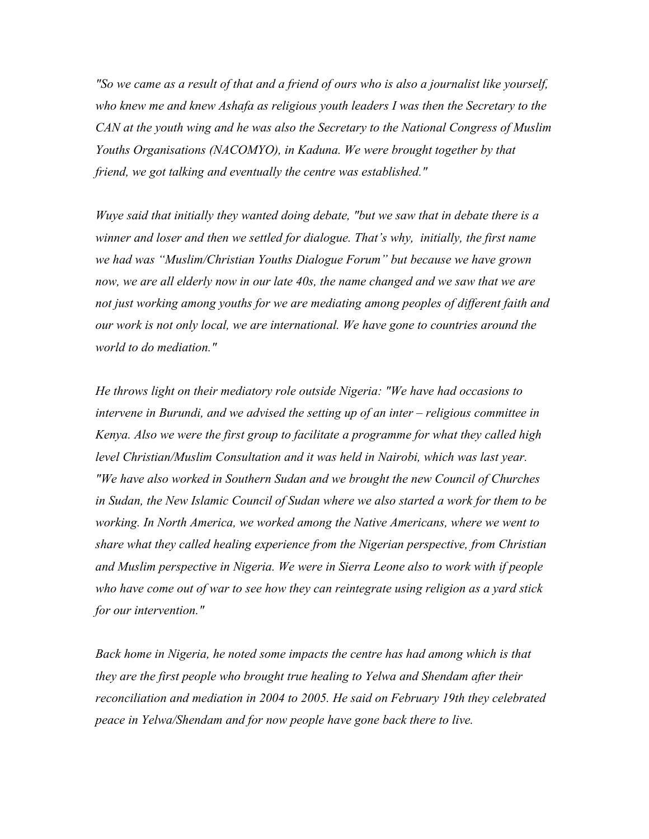*"So we came as a result of that and a friend of ours who is also a journalist like yourself, who knew me and knew Ashafa as religious youth leaders I was then the Secretary to the CAN at the youth wing and he was also the Secretary to the National Congress of Muslim Youths Organisations (NACOMYO), in Kaduna. We were brought together by that friend, we got talking and eventually the centre was established."* 

*Wuye said that initially they wanted doing debate, "but we saw that in debate there is a winner and loser and then we settled for dialogue. That's why, initially, the first name we had was "Muslim/Christian Youths Dialogue Forum" but because we have grown*  now, we are all elderly now in our late 40s, the name changed and we saw that we are *not just working among youths for we are mediating among peoples of different faith and our work is not only local, we are international. We have gone to countries around the world to do mediation."*

*He throws light on their mediatory role outside Nigeria: "We have had occasions to intervene in Burundi, and we advised the setting up of an inter – religious committee in Kenya. Also we were the first group to facilitate a programme for what they called high*  level Christian/Muslim Consultation and it was held in Nairobi, which was last year. *"We have also worked in Southern Sudan and we brought the new Council of Churches in Sudan, the New Islamic Council of Sudan where we also started a work for them to be working. In North America, we worked among the Native Americans, where we went to share what they called healing experience from the Nigerian perspective, from Christian and Muslim perspective in Nigeria. We were in Sierra Leone also to work with if people who have come out of war to see how they can reintegrate using religion as a yard stick for our intervention."*

*Back home in Nigeria, he noted some impacts the centre has had among which is that they are the first people who brought true healing to Yelwa and Shendam after their reconciliation and mediation in 2004 to 2005. He said on February 19th they celebrated peace in Yelwa/Shendam and for now people have gone back there to live.*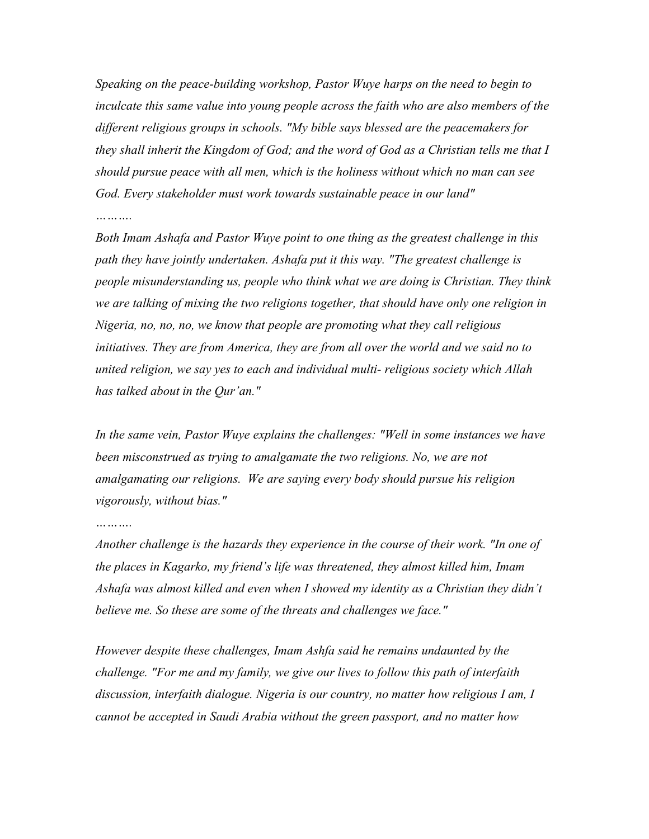*Speaking on the peace-building workshop, Pastor Wuye harps on the need to begin to inculcate this same value into young people across the faith who are also members of the different religious groups in schools. "My bible says blessed are the peacemakers for they shall inherit the Kingdom of God; and the word of God as a Christian tells me that I should pursue peace with all men, which is the holiness without which no man can see God. Every stakeholder must work towards sustainable peace in our land"*

## *……….*

*Both Imam Ashafa and Pastor Wuye point to one thing as the greatest challenge in this path they have jointly undertaken. Ashafa put it this way. "The greatest challenge is people misunderstanding us, people who think what we are doing is Christian. They think we are talking of mixing the two religions together, that should have only one religion in Nigeria, no, no, no, we know that people are promoting what they call religious initiatives. They are from America, they are from all over the world and we said no to united religion, we say yes to each and individual multi- religious society which Allah has talked about in the Qur'an."* 

*In the same vein, Pastor Wuye explains the challenges: "Well in some instances we have been misconstrued as trying to amalgamate the two religions. No, we are not amalgamating our religions. We are saying every body should pursue his religion vigorously, without bias."* 

*Another challenge is the hazards they experience in the course of their work. "In one of the places in Kagarko, my friend's life was threatened, they almost killed him, Imam Ashafa was almost killed and even when I showed my identity as a Christian they didn't believe me. So these are some of the threats and challenges we face."*

*However despite these challenges, Imam Ashfa said he remains undaunted by the challenge. "For me and my family, we give our lives to follow this path of interfaith discussion, interfaith dialogue. Nigeria is our country, no matter how religious I am, I cannot be accepted in Saudi Arabia without the green passport, and no matter how*